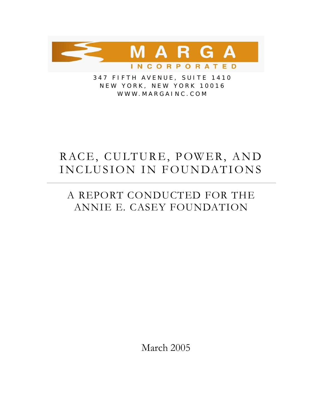

347 FIFTH AVENUE, SUITE 1410 N E W Y O RK, NE W Y O RK 100 1 6 WWW.MARGAINC.COM

# RACE, CULTURE, POWER, AND INCLUSION IN FOUNDATIONS

# A REPORT CONDUCTED FOR THE ANNIE E. CASEY FOUNDATION

March 2005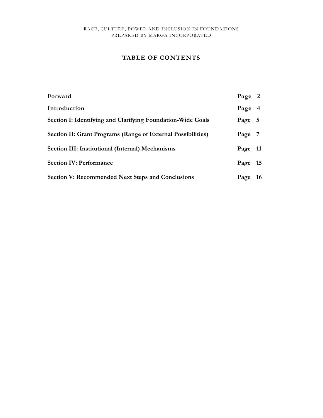# **TABLE OF CONTENTS**

| Forward                                                      | Page 2  |    |
|--------------------------------------------------------------|---------|----|
| Introduction                                                 | Page 4  |    |
| Section I: Identifying and Clarifying Foundation-Wide Goals  | Page 5  |    |
| Section II: Grant Programs (Range of External Possibilities) | Page 7  |    |
| Section III: Institutional (Internal) Mechanisms             | Page 11 |    |
| <b>Section IV: Performance</b>                               | Page    | 15 |
| <b>Section V: Recommended Next Steps and Conclusions</b>     | Page    | 16 |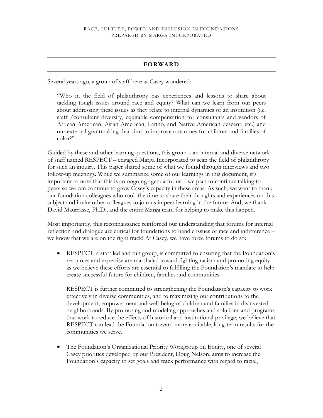# **FORWARD**

Several years ago, a group of staff here at Casey wondered:

"Who in the field of philanthropy has experiences and lessons to share about tackling tough issues around race and equity? What can we learn from our peers about addressing these issues as they relate to internal dynamics of an institution (i.e. staff /consultant diversity, equitable compensation for consultants and vendors of African American, Asian American, Latino, and Native American descent, etc.) and our external grantmaking that aims to improve outcomes for children and families of color?"

Guided by these and other learning questions, this group – an internal and diverse network of staff named RESPECT – engaged Marga Incorporated to scan the field of philanthropy for such an inquiry. This paper shared some of what we found through interviews and two follow-up meetings. While we summarize some of our learnings in this document, it's important to note that this is an ongoing agenda for us – we plan to continue talking to peers so we can continue to grow Casey's capacity in these areas. As such, we want to thank our foundation colleagues who took the time to share their thoughts and experiences on this subject and invite other colleagues to join us in peer learning in the future. And, we thank David Maurrasse, Ph.D., and the entire Marga team for helping to make this happen.

Most importantly, this reconnaissance reinforced our understanding that forums for internal reflection and dialogue are critical for foundations to handle issues of race and indifference – we know that we are on the right track! At Casey, we have three forums to do so:

• RESPECT, a staff led and run group, is committed to ensuring that the Foundation's resources and expertise are marshaled toward fighting racism and promoting equity as we believe these efforts are essential to fulfilling the Foundation's mandate to help create successful future for children, families and communities.

RESPECT is further committed to strengthening the Foundation's capacity to work effectively in diverse communities, and to maximizing our contributions to the development, empowerment and well-being of children and families in disinvested neighborhoods. By promoting and modeling approaches and solutions and programs that work to reduce the effects of historical and institutional privilege, we believe that RESPECT can lead the Foundation toward more equitable, long-term results for the communities we serve.

• The Foundation's Organizational Priority Workgroup on Equity, one of several Casey priorities developed by our President, Doug Nelson, aims to increase the Foundation's capacity to set goals and track performance with regard to racial,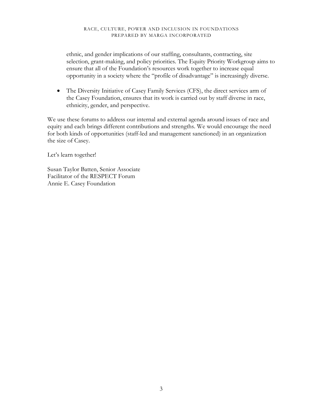ethnic, and gender implications of our staffing, consultants, contracting, site selection, grant-making, and policy priorities. The Equity Priority Workgroup aims to ensure that all of the Foundation's resources work together to increase equal opportunity in a society where the "profile of disadvantage" is increasingly diverse.

• The Diversity Initiative of Casey Family Services (CFS), the direct services arm of the Casey Foundation, ensures that its work is carried out by staff diverse in race, ethnicity, gender, and perspective.

We use these forums to address our internal and external agenda around issues of race and equity and each brings different contributions and strengths. We would encourage the need for both kinds of opportunities (staff-led and management sanctioned) in an organization the size of Casey.

Let's learn together!

Susan Taylor Batten, Senior Associate Facilitator of the RESPECT Forum Annie E. Casey Foundation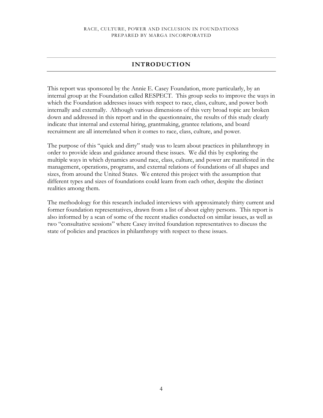# **INTRODUCTION**

This report was sponsored by the Annie E. Casey Foundation, more particularly, by an internal group at the Foundation called RESPECT. This group seeks to improve the ways in which the Foundation addresses issues with respect to race, class, culture, and power both internally and externally. Although various dimensions of this very broad topic are broken down and addressed in this report and in the questionnaire, the results of this study clearly indicate that internal and external hiring, grantmaking, grantee relations, and board recruitment are all interrelated when it comes to race, class, culture, and power.

The purpose of this "quick and dirty" study was to learn about practices in philanthropy in order to provide ideas and guidance around these issues. We did this by exploring the multiple ways in which dynamics around race, class, culture, and power are manifested in the management, operations, programs, and external relations of foundations of all shapes and sizes, from around the United States. We entered this project with the assumption that different types and sizes of foundations could learn from each other, despite the distinct realities among them.

The methodology for this research included interviews with approximately thirty current and former foundation representatives, drawn from a list of about eighty persons. This report is also informed by a scan of some of the recent studies conducted on similar issues, as well as two "consultative sessions" where Casey invited foundation representatives to discuss the state of policies and practices in philanthropy with respect to these issues.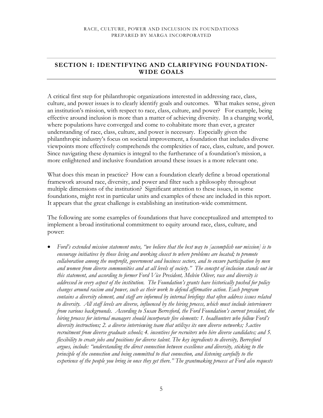# **SECTION I: IDENTIFYING AND CLARIFYING FOUNDATION-WIDE GOALS**

A critical first step for philanthropic organizations interested in addressing race, class, culture, and power issues is to clearly identify goals and outcomes. What makes sense, given an institution's mission, with respect to race, class, culture, and power? For example, being effective around inclusion is more than a matter of achieving diversity. In a changing world, where populations have converged and come to cohabitate more than ever, a greater understanding of race, class, culture, and power is necessary. Especially given the philanthropic industry's focus on societal improvement, a foundation that includes diverse viewpoints more effectively comprehends the complexities of race, class, culture, and power. Since navigating these dynamics is integral to the furtherance of a foundation's mission, a more enlightened and inclusive foundation around these issues is a more relevant one.

What does this mean in practice? How can a foundation clearly define a broad operational framework around race, diversity, and power and filter such a philosophy throughout multiple dimensions of the institution? Significant attention to these issues, in some foundations, might rest in particular units and examples of these are included in this report. It appears that the great challenge is establishing an institution-wide commitment.

The following are some examples of foundations that have conceptualized and attempted to implement a broad institutional commitment to equity around race, class, culture, and power:

• *Ford's extended mission statement notes, "we believe that the best way to [accomplish our mission] is to encourage initiatives by those living and working closest to where problems are located; to promote collaboration among the nonprofit, government and business sectors, and to ensure participation by men and women from diverse communities and at all levels of society." The concept of inclusion stands out in this statement, and according to former Ford Vice President, Melvin Oliver, race and diversity is addressed in every aspect of the institution. The Foundation's grants have historically pushed for policy changes around racism and power, such as their work to defend affirmative action. Each program contains a diversity element, and staff are informed by internal briefings that often address issues related to diversity. All staff levels are diverse, influenced by the hiring process, which must include interviewers from various backgrounds. According to Susan Berresford, the Ford Foundation's current president, the hiring process for internal managers should incorporate five elements: 1. headhunters who follow Ford's diversity instructions; 2. a diverse interviewing team that utilizes its own diverse networks; 3.active recruitment from diverse graduate schools; 4. incentives for recruiters who hire diverse candidates; and 5. flexibility to create jobs and positions for diverse talent. The key ingredients to diversity, Berresford argues, include: "understanding the direct connection between excellence and diversity, sticking to the principle of the connection and being committed to that connection, and listening carefully to the experience of the people you bring in once they get there." The grantmaking process at Ford also requests*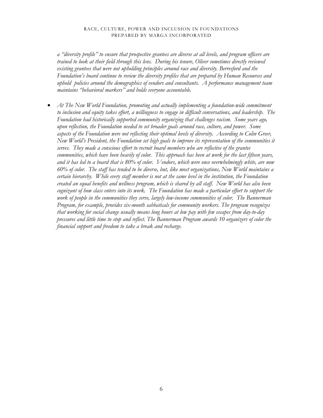*a "diversity profile" to ensure that prospective grantees are diverse at all levels, and program officers are trained to look at their field through this lens. During his tenure, Oliver sometimes directly reviewed existing grantees that were not upholding principles around race and diversity. Berresford and the Foundation's board continue to review the diversity profiles that are prepared by Human Resources and uphold policies around the demographics of vendors and consultants. A performance management team maintains "behavioral markers" and holds everyone accountable.* 

• *At The New World Foundation, promoting and actually implementing a foundation-wide commitment to inclusion and equity takes effort, a willingness to engage in difficult conversations, and leadership. The Foundation had historically supported community organizing that challenges racism. Some years ago, upon reflection, the Foundation needed to set broader goals around race, culture, and power. Some aspects of the Foundation were not reflecting their optimal levels of diversity. According to Colin Greer, New World's President, the Foundation set high goals to improve its representation of the communities it serves. They made a conscious effort to recruit board members who are reflective of the grantee communities, which have been heavily of color. This approach has been at work for the last fifteen years, and it has led to a board that is 80% of color. Vendors, which were once overwhelmingly white, are now 60% of color. The staff has tended to be diverse, but, like most organizations, New World maintains a certain hierarchy. While every staff member is not at the same level in the institution, the Foundation created an equal benefits and wellness program, which is shared by all staff. New World has also been cognizant of how class enters into its work. The Foundation has made a particular effort to support the work of people in the communities they serve, largely low-income communities of color. The Bannerman Program, for example, provides six-month sabbaticals for community workers. The program recognizes that working for social change usually means long hours at low pay with few escapes from day-to-day pressures and little time to stop and reflect. The Bannerman Program awards 10 organizers of color the financial support and freedom to take a break and recharge.*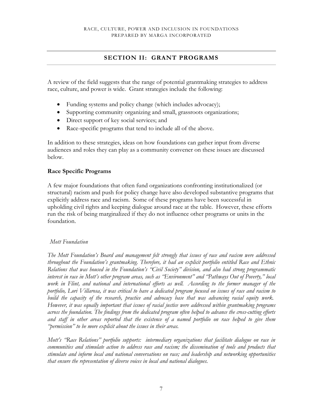# **SECTION II: GRANT PROGRAMS**

A review of the field suggests that the range of potential grantmaking strategies to address race, culture, and power is wide. Grant strategies include the following:

- Funding systems and policy change (which includes advocacy);
- Supporting community organizing and small, grassroots organizations;
- Direct support of key social services; and
- Race-specific programs that tend to include all of the above.

In addition to these strategies, ideas on how foundations can gather input from diverse audiences and roles they can play as a community convener on these issues are discussed below.

## **Race Specific Programs**

A few major foundations that often fund organizations confronting institutionalized (or structural) racism and push for policy change have also developed substantive programs that explicitly address race and racism. Some of these programs have been successful in upholding civil rights and keeping dialogue around race at the table. However, these efforts run the risk of being marginalized if they do not influence other programs or units in the foundation.

## *Mott Foundation*

*The Mott Foundation's Board and management felt strongly that issues of race and racism were addressed throughout the Foundation's grantmaking. Therefore, it had an explicit portfolio entitled Race and Ethnic Relations that was housed in the Foundation's "Civil Society" division, and also had strong programmatic interest in race in Mott's other program areas, such as "Environment" and "Pathways Out of Poverty," local work in Flint, and national and international efforts as well. According to the former manager of the portfolio, Lori Villarosa, it was critical to have a dedicated program focused on issues of race and racism to build the capacity of the research, practice and advocacy base that was advancing racial equity work. However, it was equally important that issues of racial justice were addressed within grantmaking programs across the foundation. The findings from the dedicated program often helped to advance the cross-cutting efforts and staff in other areas reported that the existence of a named portfolio on race helped to give them "permission" to be more explicit about the issues in their areas.* 

*Mott's "Race Relations" portfolio supports: intermediary organizations that facilitate dialogue on race in communities and stimulate action to address race and racism; the dissemination of tools and products that stimulate and inform local and national conversations on race; and leadership and networking opportunities that ensure the representation of diverse voices in local and national dialogues.*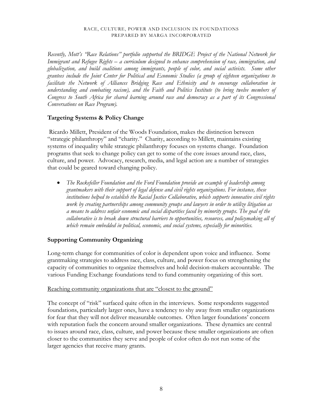*Recently, Mott's "Race Relations" portfolio supported the BRIDGE Project of the National Network for Immigrant and Refugee Rights – a curriculum designed to enhance comprehension of race, immigration, and globalization, and build coalitions among immigrants, people of color, and social activists. Some other grantees include the Joint Center for Political and Economic Studies (a group of eighteen organizations to facilitate the Network of Alliances Bridging Race and Ethnicity and to encourage collaboration in understanding and combating racism), and the Faith and Politics Institute (to bring twelve members of Congress to South Africa for shared learning around race and democracy as a part of its Congressional Conversations on Race Program).* 

# **Targeting Systems & Policy Change**

 Ricardo Millett, President of the Woods Foundation, makes the distinction between "strategic philanthropy" and "charity." Charity, according to Millett, maintains existing systems of inequality while strategic philanthropy focuses on systems change. Foundation programs that seek to change policy can get to some of the core issues around race, class, culture, and power. Advocacy, research, media, and legal action are a number of strategies that could be geared toward changing policy.

• *The Rockefeller Foundation and the Ford Foundation provide an example of leadership among grantmakers with their support of legal defense and civil rights organizations. For instance, these institutions helped to establish the Racial Justice Collaborative, which supports innovative civil rights work by creating partnerships among community groups and lawyers in order to utilize litigation as a means to address unfair economic and social disparities faced by minority groups. The goal of the collaborative is to break down structural barriers to opportunities, resources, and policymaking all of which remain embedded in political, economic, and social systems, especially for minorities.* 

# **Supporting Community Organizing**

Long-term change for communities of color is dependent upon voice and influence. Some grantmaking strategies to address race, class, culture, and power focus on strengthening the capacity of communities to organize themselves and hold decision-makers accountable. The various Funding Exchange foundations tend to fund community organizing of this sort.

# Reaching community organizations that are "closest to the ground"

The concept of "risk" surfaced quite often in the interviews. Some respondents suggested foundations, particularly larger ones, have a tendency to shy away from smaller organizations for fear that they will not deliver measurable outcomes. Often larger foundations' concern with reputation fuels the concern around smaller organizations. These dynamics are central to issues around race, class, culture, and power because these smaller organizations are often closer to the communities they serve and people of color often do not run some of the larger agencies that receive many grants.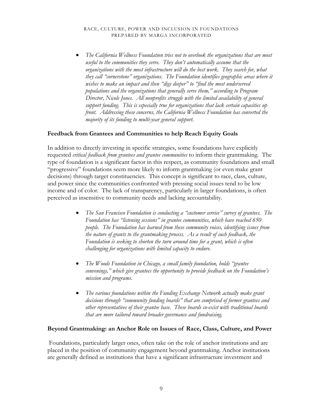• *The California Wellness Foundation tries not to overlook the organizations that are most useful to the communities they serve. They don't automatically assume that the organizations with the most infrastructure will do the best work. They search for, what they call "cornerstone" organizations. The Foundation identifies geographic areas where it wishes to make an impact and then "digs deeper" to "find the most underserved populations and the organizations that generally serve them," according to Program Director, Nicole Jones. All nonprofits struggle with the limited availability of general support funding. This is especially true for organizations that lack certain capacities up front. Addressing these concerns, the California Wellness Foundation has converted the majority of its funding to multi-year general support.* 

## **Feedback from Grantees and Communities to help Reach Equity Goals**

In addition to directly investing in specific strategies, some foundations have explicitly requested *critical feedback from grantees and grantee communities* to inform their grantmaking*.* The type of foundation is a significant factor in this respect, as community foundations and small "progressive" foundations seem more likely to inform grantmaking (or even make grant decisions) through target constituencies. This concept is significant to race, class, culture, and power since the communities confronted with pressing social issues tend to be low income and of color. The lack of transparency, particularly in larger foundations, is often perceived as insensitive to community needs and lacking accountability.

- *The San Francisco Foundation is conducting a "customer service" survey of grantees. The Foundation has "listening sessions" in grantee communities, which have reached 650 people. The Foundation has learned from these community voices, identifying issues from the nature of grants to the grantmaking process. As a result of such feedback, the Foundation is seeking to shorten the turn around time for a grant, which is often challenging for organizations with limited capacity to endure.*
- *The Woods Foundation in Chicago, a small family foundation, holds "grantee convenings," which give grantees the opportunity to provide feedback on the Foundation's mission and programs*.
- *The various foundations within the Funding Exchange Network actually make grant decisions through "community funding boards" that are comprised of former grantees and other representatives of their grantee base. These boards co-exist with traditional boards that are more tailored toward broader governance and fundraising.*

## **Beyond Grantmaking: an Anchor Role on Issues of Race, Class, Culture, and Power**

Foundations, particularly larger ones, often take on the role of anchor institutions and are placed in the position of community engagement beyond grantmaking. Anchor institutions are generally defined as institutions that have a significant infrastructure investment and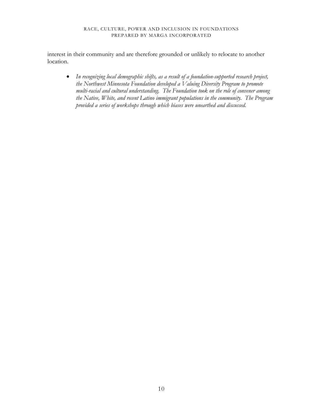interest in their community and are therefore grounded or unlikely to relocate to another location.

• *In recognizing local demographic shifts, as a result of a foundation-supported research project, the Northwest Minnesota Foundation developed a Valuing Diversity Program to promote multi-racial and cultural understanding. The Foundation took on the role of convener among the Native, White, and recent Latino immigrant populations in the community. The Program provided a series of workshops through which biases were unearthed and discussed.*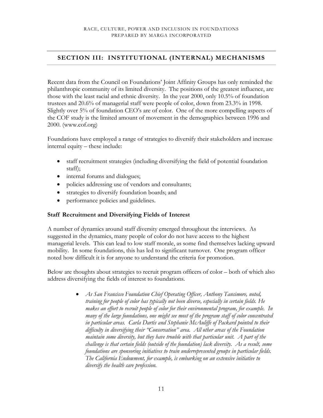# **SECTION III: INSTITUTIONAL (INTERNAL) MECHANISMS**

Recent data from the Council on Foundations' Joint Affinity Groups has only reminded the philanthropic community of its limited diversity. The positions of the greatest influence, are those with the least racial and ethnic diversity. In the year 2000, only 10.5% of foundation trustees and 20.6% of managerial staff were people of color, down from 23.3% in 1998. Slightly over 5% of foundation CEO's are of color. One of the more compelling aspects of the COF study is the limited amount of movement in the demographics between 1996 and 2000. (www.cof.org)

Foundations have employed a range of strategies to diversify their stakeholders and increase internal equity – these include:

- staff recruitment strategies (including diversifying the field of potential foundation staff);
- internal forums and dialogues;
- policies addressing use of vendors and consultants;
- strategies to diversify foundation boards; and
- performance policies and guidelines.

# **Staff Recruitment and Diversifying Fields of Interest**

A number of dynamics around staff diversity emerged throughout the interviews. As suggested in the dynamics, many people of color do not have access to the highest managerial levels. This can lead to low staff morale, as some find themselves lacking upward mobility. In some foundations, this has led to significant turnover. One program officer noted how difficult it is for anyone to understand the criteria for promotion.

Below are thoughts about strategies to recruit program officers of color – both of which also address diversifying the fields of interest to foundations.

> • *As San Francisco Foundation Chief Operating Officer, Anthony Tansimore, noted, training for people of color has typically not been diverse, especially in certain fields. He makes an effort to recruit people of color for their environmental program, for example. In many of the large foundations, one might see most of the program staff of color concentrated in particular areas. Carla Dartis and Stephanie McAuliffe of Packard pointed to their difficulty in diversifying their "Conservation" area. All other areas of the Foundation maintain some diversity, but they have trouble with that particular unit. A part of the challenge is that certain fields (outside of the foundation) lack diversity. As a result, some foundations are sponsoring initiatives to train underrepresented groups in particular fields. The California Endowment, for example, is embarking on an extensive initiative to diversify the health care profession.*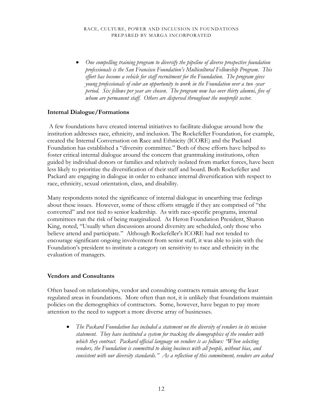• *One compelling training program to diversify the pipeline of diverse prospective foundation professionals is the San Francisco Foundation's Multicultural Fellowship Program. This effort has become a vehicle for staff recruitment for the Foundation. The program gives young professionals of color an opportunity to work in the Foundation over a two -year period. Six fellows per year are chosen. The program now has over thirty alumni, five of whom are permanent staff. Others are dispersed throughout the nonprofit sector.* 

# **Internal Dialogue/Formations**

A few foundations have created internal initiatives to facilitate dialogue around how the institution addresses race, ethnicity, and inclusion. The Rockefeller Foundation, for example, created the Internal Conversation on Race and Ethnicity (ICORE) and the Packard Foundation has established a "diversity committee." Both of these efforts have helped to foster critical internal dialogue around the concern that grantmaking institutions, often guided by individual donors or families and relatively isolated from market forces, have been less likely to prioritize the diversification of their staff and board. Both Rockefeller and Packard are engaging in dialogue in order to enhance internal diversification with respect to race, ethnicity, sexual orientation, class, and disability.

Many respondents noted the significance of internal dialogue in unearthing true feelings about these issues. However, some of these efforts struggle if they are comprised of "the converted" and not tied to senior leadership. As with race-specific programs, internal committees run the risk of being marginalized. As Heron Foundation President, Sharon King, noted, "Usually when discussions around diversity are scheduled, only those who believe attend and participate." Although Rockefeller's ICORE had not tended to encourage significant ongoing involvement from senior staff, it was able to join with the Foundation's president to institute a category on sensitivity to race and ethnicity in the evaluation of managers.

## **Vendors and Consultants**

Often based on relationships, vendor and consulting contracts remain among the least regulated areas in foundations. More often than not, it is unlikely that foundations maintain policies on the demographics of contractors. Some, however, have begun to pay more attention to the need to support a more diverse array of businesses.

• *The Packard Foundation has included a statement on the diversity of vendors in its mission statement. They have instituted a system for tracking the demographics of the vendors with which they contract. Packard official language on vendors is as follows: "When selecting vendors, the Foundation is committed to doing business with all people, without bias, and consistent with our diversity standards." As a reflection of this commitment, vendors are asked*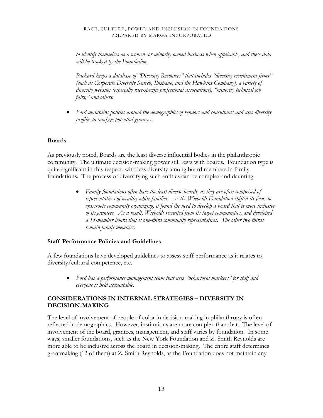*to identify themselves as a women- or minority-owned business when applicable, and these data will be tracked by the Foundation.* 

*Packard keeps a database of "Diversity Resources" that includes "diversity recruitment firms" (such as Corporate Diversity Search, Ihispano, and the Hawkins Company), a variety of diversity websites (especially race-specific professional associations), "minority technical job fairs," and others.* 

• *Ford maintains policies around the demographics of vendors and consultants and uses diversity profiles to analyze potential grantees.* 

# **Boards**

As previously noted, Boards are the least diverse influential bodies in the philanthropic community. The ultimate decision-making power still rests with boards. Foundation type is quite significant in this respect, with less diversity among board members in family foundations. The process of diversifying such entities can be complex and daunting.

> • *Family foundations often have the least diverse boards, as they are often comprised of representatives of wealthy white families. As the Wieboldt Foundation shifted its focus to grassroots community organizing, it found the need to develop a board that is more inclusive of its grantees. As a result, Wieboldt recruited from its target communities, and developed a 15-member board that is one-third community representatives. The other two thirds remain family members.*

# **Staff Performance Policies and Guidelines**

A few foundations have developed guidelines to assess staff performance as it relates to diversity/cultural competence, etc.

• *Ford has a performance management team that uses "behavioral markers" for staff and everyone is held accountable.* 

# **CONSIDERATIONS IN INTERNAL STRATEGIES – DIVERSITY IN DECISION-MAKING**

The level of involvement of people of color in decision-making in philanthropy is often reflected in demographics. However, institutions are more complex than that. The level of involvement of the board, grantees, management, and staff varies by foundation. In some ways, smaller foundations, such as the New York Foundation and Z. Smith Reynolds are more able to be inclusive across the board in decision-making. The entire staff determines grantmaking (12 of them) at Z. Smith Reynolds, as the Foundation does not maintain any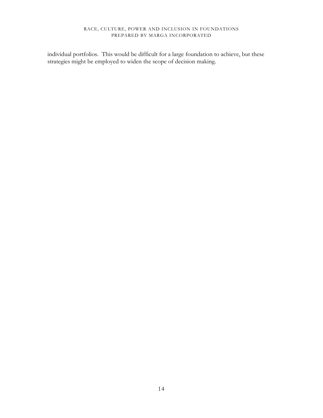individual portfolios. This would be difficult for a large foundation to achieve, but these strategies might be employed to widen the scope of decision making.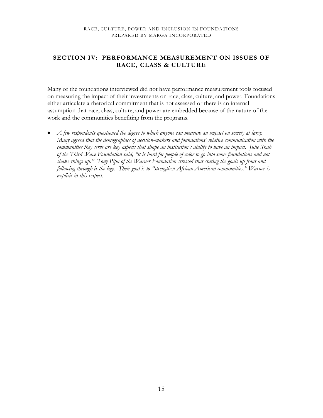# **SECTION IV: PERFORMANCE MEASUREMENT ON ISSUES OF RACE, CLASS & CULTURE**

Many of the foundations interviewed did not have performance measurement tools focused on measuring the impact of their investments on race, class, culture, and power. Foundations either articulate a rhetorical commitment that is not assessed or there is an internal assumption that race, class, culture, and power are embedded because of the nature of the work and the communities benefiting from the programs.

• *A few respondents questioned the degree to which anyone can measure an impact on society at large. Many agreed that the demographics of decision-makers and foundations' relative communication with the communities they serve are key aspects that shape an institution's ability to have an impact. Julie Shah of the Third Wave Foundation said, "it is hard for people of color to go into some foundations and not shake things up." Tony Pipa of the Warner Foundation stressed that stating the goals up front and following through is the key. Their goal is to "strengthen African-American communities." Warner is explicit in this respect.*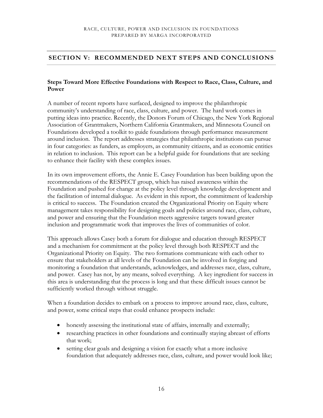# **SECTION V: RECOMMENDED NEXT STEPS AND CONCLUSIONS**

# **Steps Toward More Effective Foundations with Respect to Race, Class, Culture, and Power**

A number of recent reports have surfaced, designed to improve the philanthropic community's understanding of race, class, culture, and power. The hard work comes in putting ideas into practice. Recently, the Donors Forum of Chicago, the New York Regional Association of Grantmakers, Northern California Grantmakers, and Minnesota Council on Foundations developed a toolkit to guide foundations through performance measurement around inclusion. The report addresses strategies that philanthropic institutions can pursue in four categories: as funders, as employers, as community citizens, and as economic entities in relation to inclusion. This report can be a helpful guide for foundations that are seeking to enhance their facility with these complex issues.

In its own improvement efforts, the Annie E. Casey Foundation has been building upon the recommendations of the RESPECT group, which has raised awareness within the Foundation and pushed for change at the policy level through knowledge development and the facilitation of internal dialogue. As evident in this report, the commitment of leadership is critical to success. The Foundation created the Organizational Priority on Equity where management takes responsibility for designing goals and policies around race, class, culture, and power and ensuring that the Foundation meets aggressive targets toward greater inclusion and programmatic work that improves the lives of communities of color.

This approach allows Casey both a forum for dialogue and education through RESPECT and a mechanism for commitment at the policy level through both RESPECT and the Organizational Priority on Equity. The two formations communicate with each other to ensure that stakeholders at all levels of the Foundation can be involved in forging and monitoring a foundation that understands, acknowledges, and addresses race, class, culture, and power. Casey has not, by any means, solved everything. A key ingredient for success in this area is understanding that the process is long and that these difficult issues cannot be sufficiently worked through without struggle.

When a foundation decides to embark on a process to improve around race, class, culture, and power, some critical steps that could enhance prospects include:

- honestly assessing the institutional state of affairs, internally and externally;
- researching practices in other foundations and continually staying abreast of efforts that work;
- setting clear goals and designing a vision for exactly what a more inclusive foundation that adequately addresses race, class, culture, and power would look like;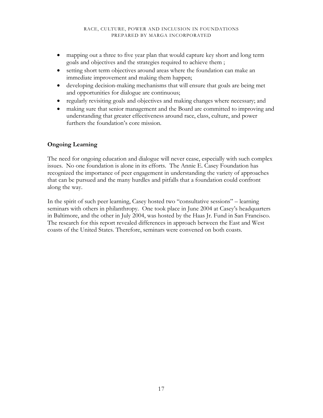- mapping out a three to five year plan that would capture key short and long term goals and objectives and the strategies required to achieve them ;
- setting short term objectives around areas where the foundation can make an immediate improvement and making them happen;
- developing decision-making mechanisms that will ensure that goals are being met and opportunities for dialogue are continuous;
- regularly revisiting goals and objectives and making changes where necessary; and
- making sure that senior management and the Board are committed to improving and understanding that greater effectiveness around race, class, culture, and power furthers the foundation's core mission.

# **Ongoing Learning**

The need for ongoing education and dialogue will never cease, especially with such complex issues. No one foundation is alone in its efforts. The Annie E. Casey Foundation has recognized the importance of peer engagement in understanding the variety of approaches that can be pursued and the many hurdles and pitfalls that a foundation could confront along the way.

In the spirit of such peer learning, Casey hosted two "consultative sessions" – learning seminars with others in philanthropy. One took place in June 2004 at Casey's headquarters in Baltimore, and the other in July 2004, was hosted by the Haas Jr. Fund in San Francisco. The research for this report revealed differences in approach between the East and West coasts of the United States. Therefore, seminars were convened on both coasts.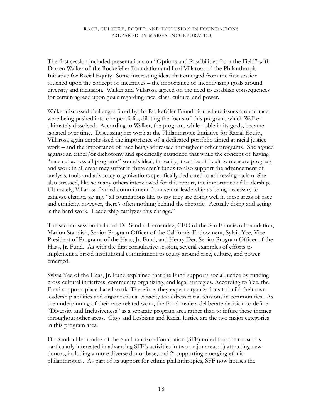The first session included presentations on "Options and Possibilities from the Field" with Darren Walker of the Rockefeller Foundation and Lori Villarosa of the Philanthropic Initiative for Racial Equity. Some interesting ideas that emerged from the first session touched upon the concept of incentives – the importance of incentivizing goals around diversity and inclusion. Walker and Villarosa agreed on the need to establish consequences for certain agreed upon goals regarding race, class, culture, and power.

Walker discussed challenges faced by the Rockefeller Foundation where issues around race were being pushed into one portfolio, diluting the focus of this program, which Walker ultimately dissolved. According to Walker, the program, while noble in its goals, became isolated over time. Discussing her work at the Philanthropic Initiative for Racial Equity, Villarosa again emphasized the importance of a dedicated portfolio aimed at racial justice work – and the importance of race being addressed throughout other programs. She argued against an either/or dichotomy and specifically cautioned that while the concept of having "race cut across all programs" sounds ideal, in reality, it can be difficult to measure progress and work in all areas may suffer if there aren't funds to also support the advancement of analysis, tools and advocacy organizations specifically dedicated to addressing racism. She also stressed, like so many others interviewed for this report, the importance of leadership. Ultimately, Villarosa framed commitment from senior leadership as being necessary to catalyze change, saying, "all foundations like to say they are doing well in these areas of race and ethnicity, however, there's often nothing behind the rhetoric. Actually doing and acting is the hard work. Leadership catalyzes this change."

The second session included Dr. Sandra Hernandez, CEO of the San Francisco Foundation, Marion Standish, Senior Program Officer of the California Endowment, Sylvia Yee, Vice President of Programs of the Haas, Jr. Fund, and Henry Der, Senior Program Officer of the Haas, Jr. Fund. As with the first consultative session, several examples of efforts to implement a broad institutional commitment to equity around race, culture, and power emerged.

Sylvia Yee of the Haas, Jr. Fund explained that the Fund supports social justice by funding cross-cultural initiatives, community organizing, and legal strategies. According to Yee, the Fund supports place-based work. Therefore, they expect organizations to build their own leadership abilities and organizational capacity to address racial tensions in communities. As the underpinning of their race-related work, the Fund made a deliberate decision to define "Diversity and Inclusiveness" as a separate program area rather than to infuse these themes throughout other areas. Gays and Lesbians and Racial Justice are the two major categories in this program area.

Dr. Sandra Hernandez of the San Francisco Foundation (SFF) noted that their board is particularly interested in advancing SFF's activities in two major areas: 1) attracting new donors, including a more diverse donor base, and 2) supporting emerging ethnic philanthropies. As part of its support for ethnic philanthropies, SFF now houses the